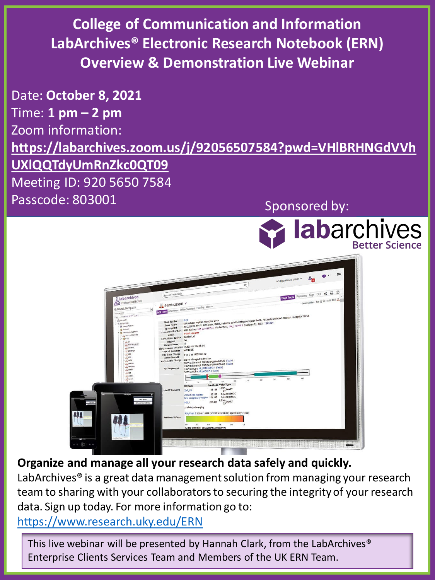**College of Communication and Information LabArchives® Electronic Research Notebook (ERN) Overview & Demonstration Live Webinar**

Date: **October 8, 2021** Time: **1 pm – 2 pm** Zoom information: **[https://labarchives.zoom.us/j/92056507584?pwd=VHlBRHNGdVVh](https://nam04.safelinks.protection.outlook.com/?url=https%3A%2F%2Flabarchives.zoom.us%2Fj%2F92056507584%3Fpwd%3DVHlBRHNGdVVhUXlQQTdyUmRnZkc0QT09&data=04%7C01%7Cjen.hill%40uky.edu%7C8387ecbe01e3487aff5108d95b4f0fff%7C2b30530b69b64457b818481cb53d42ae%7C0%7C0%7C637641217385484901%7CUnknown%7CTWFpbGZsb3d8eyJWIjoiMC4wLjAwMDAiLCJQIjoiV2luMzIiLCJBTiI6Ik1haWwiLCJXVCI6Mn0%3D%7C1000&sdata=DlqvOTlqDqZsjoa0vQT5J26%2B6reMLfyFvJjx8sXNvTE%3D&reserved=0) UXlQQTdyUmRnZkc0QT09** Meeting ID: 920 5650 7584 Passcode: 803001 Sponsored by:

**labarchives** 



**Organize and manage all your research data safely and quickly.**

LabArchives<sup>®</sup> is a great data management solution from managing your research team to sharing with your collaborators to securing the integrity of your research data. Sign up today. For more information go to:

<https://www.research.uky.edu/ERN>

This live webinar will be presented by Hannah Clark, from the LabArchives® Enterprise Clients Services Team and Members of the UK ERN Team.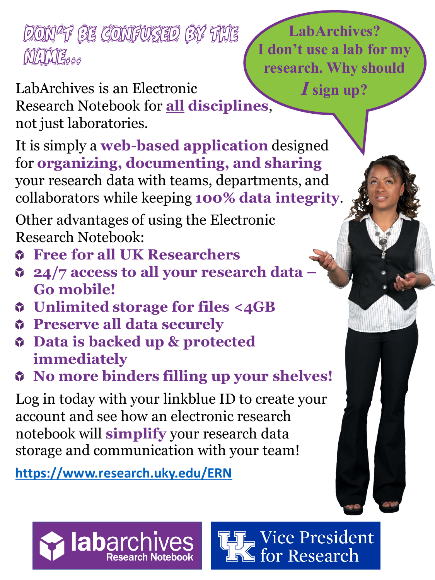## Don't be confused by the Mames<sub>õõõ</sub>

LabArchives is an Electronic Research Notebook for **all disciplines**, not just laboratories.

It is simply a **web-based application** designed for **organizing, documenting, and sharing**  your research data with teams, departments, and collaborators while keeping **100% data integrity**.

Other advantages of using the Electronic Research Notebook:

- **Free for all UK Researchers**
- **24/7 access to all your research data – Go mobile!**
- **Unlimited storage for files <4GB**
- **Preserve all data securely**
- **Data is backed up & protected immediately**
- **No more binders filling up your shelves!**

Log in today with your linkblue ID to create your account and see how an electronic research notebook will **simplify** your research data storage and communication with your team!

**<https://www.research.uky.edu/ERN>**

**labarc** 

**LabArchives? I don't use a lab for my research. Why should**  *I***sign up?**

**THE Vice President**